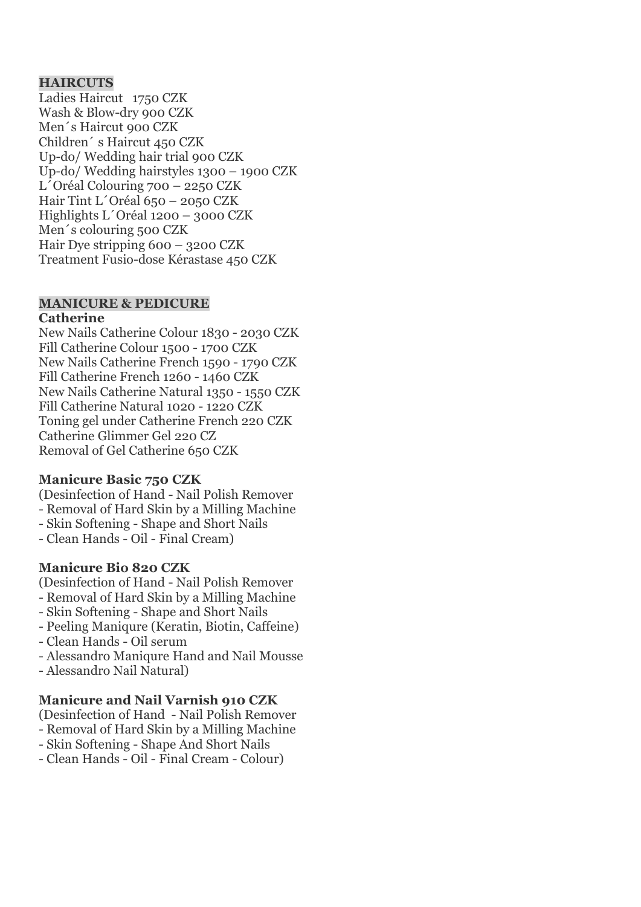## **HAIRCUTS**

Ladies Haircut 1750 CZK Wash & Blow-dry 900 CZK Men´s Haircut 900 CZK Children´ s Haircut 450 CZK Up-do/ Wedding hair trial 900 CZK Up-do/ Wedding hairstyles 1300 – 1900 CZK L´Oréal Colouring 700 – 2250 CZK Hair Tint L´Oréal 650 – 2050 CZK Highlights L´Oréal 1200 – 3000 CZK Men´s colouring 500 CZK Hair Dye stripping 600 – 3200 CZK Treatment Fusio-dose Kérastase 450 CZK

# **MANICURE & PEDICURE**

#### **Catherine**

New Nails Catherine Colour 1830 - 2030 CZK Fill Catherine Colour 1500 - 1700 CZK New Nails Catherine French 1590 - 1790 CZK Fill Catherine French 1260 - 1460 CZK New Nails Catherine Natural 1350 - 1550 CZK Fill Catherine Natural 1020 - 1220 CZK Toning gel under Catherine French 220 CZK Catherine Glimmer Gel 220 CZ Removal of Gel Catherine 650 CZK

## **Manicure Basic 750 CZK**

(Desinfection of Hand - Nail Polish Remover - Removal of Hard Skin by a Milling Machine

- Skin Softening Shape and Short Nails
- Clean Hands Oil Final Cream)

# **Manicure Bio 820 CZK**

(Desinfection of Hand - Nail Polish Remover

- Removal of Hard Skin by a Milling Machine
- Skin Softening Shape and Short Nails
- Peeling Maniqure (Keratin, Biotin, Caffeine)
- Clean Hands Oil serum
- Alessandro Maniqure Hand and Nail Mousse
- Alessandro Nail Natural)

# **Manicure and Nail Varnish 910 CZK**

(Desinfection of Hand - Nail Polish Remover

- Removal of Hard Skin by a Milling Machine
- Skin Softening Shape And Short Nails
- Clean Hands Oil Final Cream Colour)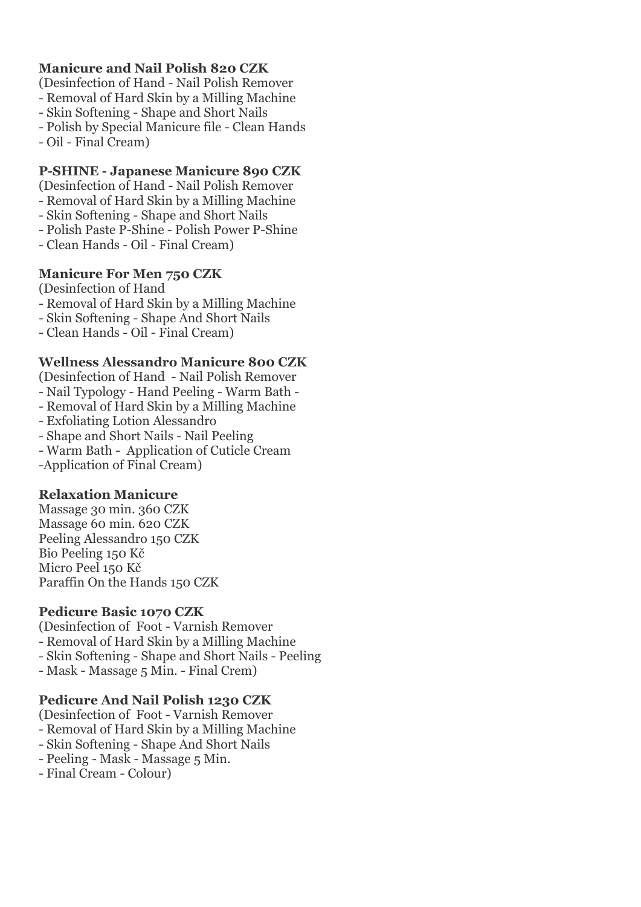# **Manicure and Nail Polish 820 CZK**

(Desinfection of Hand - Nail Polish Remover

- Removal of Hard Skin by a Milling Machine
- Skin Softening Shape and Short Nails
- Polish by Special Manicure file Clean Hands
- Oil Final Cream)

## **P-SHINE - Japanese Manicure 890 CZK**

(Desinfection of Hand - Nail Polish Remover

- Removal of Hard Skin by a Milling Machine
- Skin Softening Shape and Short Nails
- Polish Paste P-Shine Polish Power P-Shine
- Clean Hands Oil Final Cream)

## **Manicure For Men 750 CZK**

(Desinfection of Hand

- Removal of Hard Skin by a Milling Machine
- Skin Softening Shape And Short Nails
- Clean Hands Oil Final Cream)

## **Wellness Alessandro Manicure 800 CZK**

(Desinfection of Hand - Nail Polish Remover - Nail Typology - Hand Peeling - Warm Bath -

- Removal of Hard Skin by a Milling Machine
- Exfoliating Lotion Alessandro
- Shape and Short Nails Nail Peeling
- Warm Bath Application of Cuticle Cream

-Application of Final Cream)

# **Relaxation Manicure**

Massage 30 min. 360 CZK Massage 60 min. 620 CZK Peeling Alessandro 150 CZK Bio Peeling 150 Kč Micro Peel 150 Kč Paraffin On the Hands 150 CZK

# **Pedicure Basic 1070 CZK**

(Desinfection of Foot - Varnish Remover - Removal of Hard Skin by a Milling Machine - Skin Softening - Shape and Short Nails - Peeling

- 
- Mask Massage 5 Min. Final Crem)

# **Pedicure And Nail Polish 1230 CZK**

(Desinfection of Foot - Varnish Remover

- Removal of Hard Skin by a Milling Machine
- Skin Softening Shape And Short Nails
- Peeling Mask Massage 5 Min.
- Final Cream Colour)